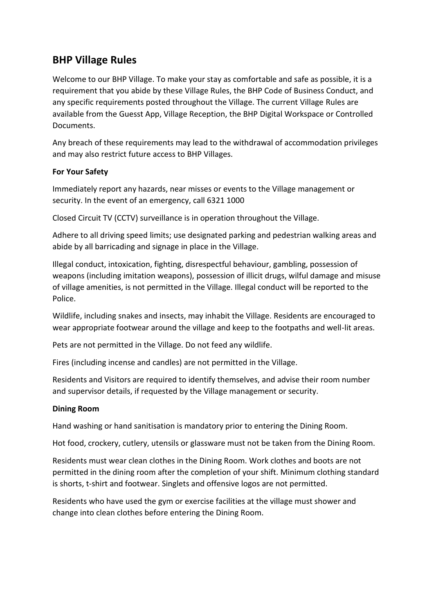# **BHP Village Rules**

Welcome to our BHP Village. To make your stay as comfortable and safe as possible, it is a requirement that you abide by these Village Rules, the BHP Code of Business Conduct, and any specific requirements posted throughout the Village. The current Village Rules are available from the Guesst App, Village Reception, the BHP Digital Workspace or Controlled **Documents** 

Any breach of these requirements may lead to the withdrawal of accommodation privileges and may also restrict future access to BHP Villages.

# **For Your Safety**

Immediately report any hazards, near misses or events to the Village management or security. In the event of an emergency, call 6321 1000

Closed Circuit TV (CCTV) surveillance is in operation throughout the Village.

Adhere to all driving speed limits; use designated parking and pedestrian walking areas and abide by all barricading and signage in place in the Village.

Illegal conduct, intoxication, fighting, disrespectful behaviour, gambling, possession of weapons (including imitation weapons), possession of illicit drugs, wilful damage and misuse of village amenities, is not permitted in the Village. Illegal conduct will be reported to the Police.

Wildlife, including snakes and insects, may inhabit the Village. Residents are encouraged to wear appropriate footwear around the village and keep to the footpaths and well-lit areas.

Pets are not permitted in the Village. Do not feed any wildlife.

Fires (including incense and candles) are not permitted in the Village.

Residents and Visitors are required to identify themselves, and advise their room number and supervisor details, if requested by the Village management or security.

# **Dining Room**

Hand washing or hand sanitisation is mandatory prior to entering the Dining Room.

Hot food, crockery, cutlery, utensils or glassware must not be taken from the Dining Room.

Residents must wear clean clothes in the Dining Room. Work clothes and boots are not permitted in the dining room after the completion of your shift. Minimum clothing standard is shorts, t-shirt and footwear. Singlets and offensive logos are not permitted.

Residents who have used the gym or exercise facilities at the village must shower and change into clean clothes before entering the Dining Room.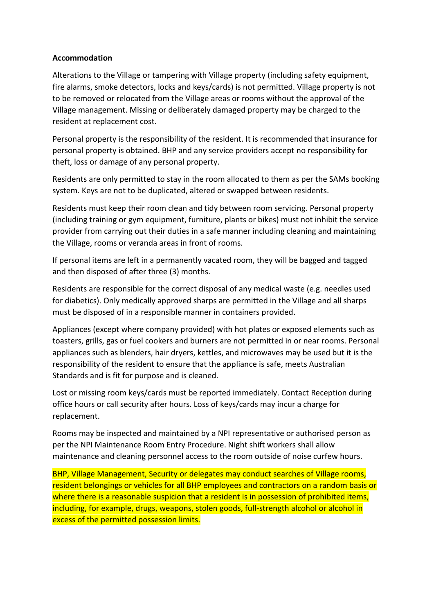## **Accommodation**

Alterations to the Village or tampering with Village property (including safety equipment, fire alarms, smoke detectors, locks and keys/cards) is not permitted. Village property is not to be removed or relocated from the Village areas or rooms without the approval of the Village management. Missing or deliberately damaged property may be charged to the resident at replacement cost.

Personal property is the responsibility of the resident. It is recommended that insurance for personal property is obtained. BHP and any service providers accept no responsibility for theft, loss or damage of any personal property.

Residents are only permitted to stay in the room allocated to them as per the SAMs booking system. Keys are not to be duplicated, altered or swapped between residents.

Residents must keep their room clean and tidy between room servicing. Personal property (including training or gym equipment, furniture, plants or bikes) must not inhibit the service provider from carrying out their duties in a safe manner including cleaning and maintaining the Village, rooms or veranda areas in front of rooms.

If personal items are left in a permanently vacated room, they will be bagged and tagged and then disposed of after three (3) months.

Residents are responsible for the correct disposal of any medical waste (e.g. needles used for diabetics). Only medically approved sharps are permitted in the Village and all sharps must be disposed of in a responsible manner in containers provided.

Appliances (except where company provided) with hot plates or exposed elements such as toasters, grills, gas or fuel cookers and burners are not permitted in or near rooms. Personal appliances such as blenders, hair dryers, kettles, and microwaves may be used but it is the responsibility of the resident to ensure that the appliance is safe, meets Australian Standards and is fit for purpose and is cleaned.

Lost or missing room keys/cards must be reported immediately. Contact Reception during office hours or call security after hours. Loss of keys/cards may incur a charge for replacement.

Rooms may be inspected and maintained by a NPI representative or authorised person as per the NPI Maintenance Room Entry Procedure. Night shift workers shall allow maintenance and cleaning personnel access to the room outside of noise curfew hours.

BHP, Village Management, Security or delegates may conduct searches of Village rooms, resident belongings or vehicles for all BHP employees and contractors on a random basis or where there is a reasonable suspicion that a resident is in possession of prohibited items, including, for example, drugs, weapons, stolen goods, full-strength alcohol or alcohol in excess of the permitted possession limits.